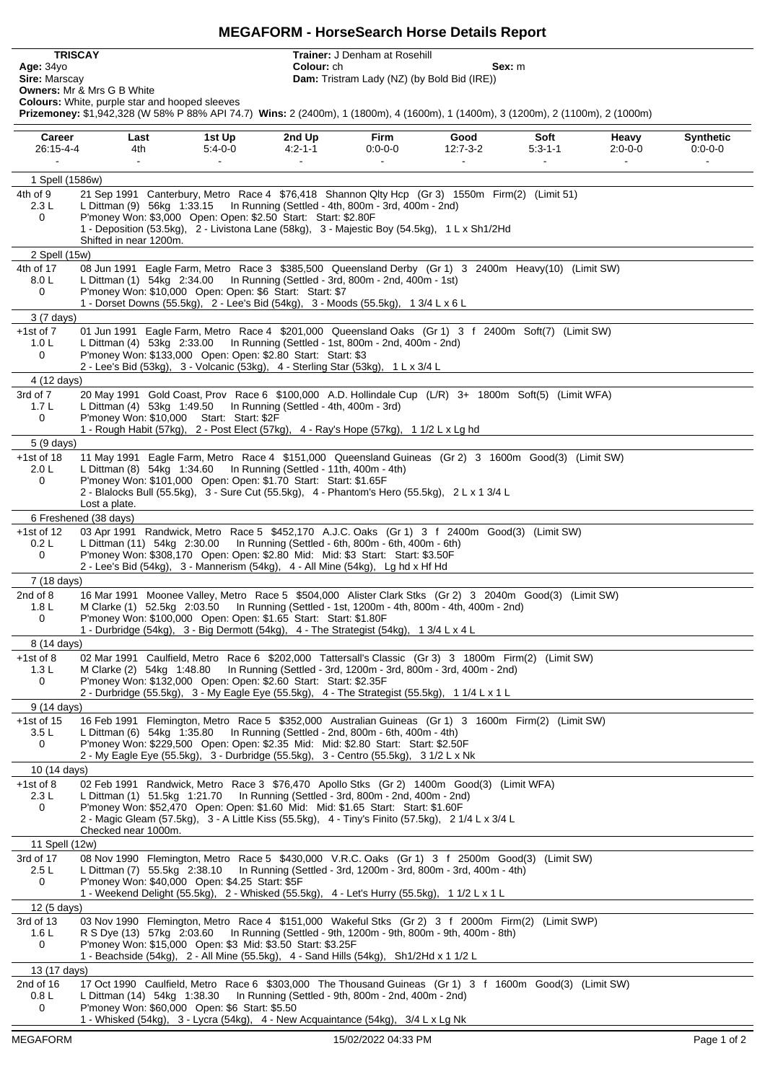## **MEGAFORM - HorseSearch Horse Details Report**

**TRISCAY Trainer:** J Denham at Rosehill<br> **Age:** 34yo **Colour:** ch<br> **Sire:** Marscay **Dam:** Tristram Lady (NZ) (by B **Age:** 34yo **Colour:** ch **Sex:** m

**Sire:** Marscay **Dam:** Tristram Lady (NZ) (by Bold Bid (IRE))

**Owners:** Mr & Mrs G B White **Colours:** White, purple star and hooped sleeves

**Prizemoney:** \$1,942,328 (W 58% P 88% API 74.7) **Wins:** 2 (2400m), 1 (1800m), 4 (1600m), 1 (1400m), 3 (1200m), 2 (1100m), 2 (1000m)

| Career<br>26:15-4-4                                                                                                 | Last<br>4th                                                                                                                                                                                                                                                                                                                                          | 1st Up<br>$5:4-0-0$ | 2nd Up<br>$4:2 - 1 - 1$                            | Firm<br>$0:0-0-0$ | Good<br>$12:7-3-2$                                              | Soft<br>$5:3 - 1 - 1$ | Heavy<br>$2:0 - 0 - 0$ | <b>Synthetic</b><br>$0:0-0-0$ |
|---------------------------------------------------------------------------------------------------------------------|------------------------------------------------------------------------------------------------------------------------------------------------------------------------------------------------------------------------------------------------------------------------------------------------------------------------------------------------------|---------------------|----------------------------------------------------|-------------------|-----------------------------------------------------------------|-----------------------|------------------------|-------------------------------|
|                                                                                                                     |                                                                                                                                                                                                                                                                                                                                                      |                     | $\sim$                                             |                   |                                                                 |                       |                        |                               |
| 1 Spell (1586w)<br>21 Sep 1991 Canterbury, Metro Race 4 \$76,418 Shannon Qlty Hcp (Gr 3) 1550m Firm(2) (Limit 51)   |                                                                                                                                                                                                                                                                                                                                                      |                     |                                                    |                   |                                                                 |                       |                        |                               |
| 4th of 9<br>2.3L<br>0                                                                                               | L Dittman (9) 56kg 1:33.15    In Running (Settled - 4th, 800m - 3rd, 400m - 2nd)<br>P'money Won: \$3,000 Open: Open: \$2.50 Start: Start: \$2.80F                                                                                                                                                                                                    |                     |                                                    |                   |                                                                 |                       |                        |                               |
|                                                                                                                     | 1 - Deposition (53.5kg), 2 - Livistona Lane (58kg), 3 - Majestic Boy (54.5kg), 1 L x Sh1/2Hd<br>Shifted in near 1200m.                                                                                                                                                                                                                               |                     |                                                    |                   |                                                                 |                       |                        |                               |
| 2 Spell (15w)                                                                                                       |                                                                                                                                                                                                                                                                                                                                                      |                     |                                                    |                   |                                                                 |                       |                        |                               |
| 4th of 17<br>8.0 L<br>0                                                                                             | 08 Jun 1991 Eagle Farm, Metro Race 3 \$385,500 Queensland Derby (Gr 1) 3 2400m Heavy(10) (Limit SW)<br>L Dittman (1) 54kg 2:34.00    In Running (Settled - 3rd, 800m - 2nd, 400m - 1st)<br>P'money Won: \$10,000 Open: Open: \$6 Start: Start: \$7<br>1 - Dorset Downs (55.5kg), 2 - Lee's Bid (54kg), 3 - Moods (55.5kg), 1 3/4 L x 6 L             |                     |                                                    |                   |                                                                 |                       |                        |                               |
| 3 (7 days)                                                                                                          |                                                                                                                                                                                                                                                                                                                                                      |                     |                                                    |                   |                                                                 |                       |                        |                               |
| $+1st$ of $7$<br>1.0 <sub>L</sub><br>0                                                                              | 01 Jun 1991 Eagle Farm, Metro Race 4 \$201,000 Queensland Oaks (Gr 1) 3 f 2400m Soft(7) (Limit SW)<br>L Dittman (4) 53kg 2:33.00    In Running (Settled - 1st, 800m - 2nd, 400m - 2nd)<br>P'money Won: \$133,000 Open: Open: \$2.80 Start: Start: \$3                                                                                                |                     |                                                    |                   |                                                                 |                       |                        |                               |
|                                                                                                                     | 2 - Lee's Bid (53kg), 3 - Volcanic (53kg), 4 - Sterling Star (53kg), 1 L x 3/4 L                                                                                                                                                                                                                                                                     |                     |                                                    |                   |                                                                 |                       |                        |                               |
| 4 (12 days)<br>20 May 1991 Gold Coast, Prov Race 6 \$100,000 A.D. Hollindale Cup (L/R) 3+ 1800m Soft(5) (Limit WFA) |                                                                                                                                                                                                                                                                                                                                                      |                     |                                                    |                   |                                                                 |                       |                        |                               |
| 3rd of 7<br>1.7 <sub>L</sub><br>0                                                                                   | L Dittman (4) 53kg 1:49.50    In Running (Settled - 4th, 400m - 3rd)<br>P'money Won: \$10,000 Start: Start: \$2F<br>1 - Rough Habit (57kg), 2 - Post Elect (57kg), 4 - Ray's Hope (57kg), 1 1/2 L x Lg hd                                                                                                                                            |                     |                                                    |                   |                                                                 |                       |                        |                               |
| 5 (9 days)                                                                                                          |                                                                                                                                                                                                                                                                                                                                                      |                     |                                                    |                   |                                                                 |                       |                        |                               |
| $+1st$ of 18<br>2.0 L<br>0                                                                                          | 11 May 1991 Eagle Farm, Metro Race 4 \$151,000 Queensland Guineas (Gr 2) 3 1600m Good(3) (Limit SW)<br>L Dittman (8) 54kg 1:34.60    In Running (Settled - 11th, 400m - 4th)<br>P'money Won: \$101,000 Open: Open: \$1.70 Start: Start: \$1.65F<br>2 - Blalocks Bull (55.5kg), 3 - Sure Cut (55.5kg), 4 - Phantom's Hero (55.5kg), 2 L x 1 3/4 L     |                     |                                                    |                   |                                                                 |                       |                        |                               |
|                                                                                                                     | Lost a plate.                                                                                                                                                                                                                                                                                                                                        |                     |                                                    |                   |                                                                 |                       |                        |                               |
|                                                                                                                     | 6 Freshened (38 days)                                                                                                                                                                                                                                                                                                                                |                     |                                                    |                   |                                                                 |                       |                        |                               |
| $+1st$ of 12<br>0.2 L<br>0                                                                                          | 03 Apr 1991 Randwick, Metro Race 5 \$452,170 A.J.C. Oaks (Gr 1) 3 f 2400m Good(3) (Limit SW)<br>L Dittman (11) 54kg 2:30.00    In Running (Settled - 6th, 800m - 6th, 400m - 6th)<br>P'money Won: \$308,170 Open: Open: \$2.80 Mid: Mid: \$3 Start: Start: \$3.50F<br>2 - Lee's Bid (54kg), 3 - Mannerism (54kg), 4 - All Mine (54kg), Lg hd x Hf Hd |                     |                                                    |                   |                                                                 |                       |                        |                               |
| 7 (18 days)                                                                                                         |                                                                                                                                                                                                                                                                                                                                                      |                     |                                                    |                   |                                                                 |                       |                        |                               |
| 2nd of 8<br>1.8 <sub>L</sub><br>0                                                                                   | 16 Mar 1991 Moonee Valley, Metro Race 5 \$504,000 Alister Clark Stks (Gr 2) 3 2040m Good(3) (Limit SW)<br>M Clarke (1) 52.5kg 2:03.50 In Running (Settled - 1st, 1200m - 4th, 800m - 4th, 400m - 2nd)<br>P'money Won: \$100,000 Open: Open: \$1.65 Start: Start: \$1.80F                                                                             |                     |                                                    |                   |                                                                 |                       |                        |                               |
| 1 - Durbridge (54kg), 3 - Big Dermott (54kg), 4 - The Strategist (54kg), 1 3/4 L x 4 L<br>8 (14 days)               |                                                                                                                                                                                                                                                                                                                                                      |                     |                                                    |                   |                                                                 |                       |                        |                               |
| $+1st$ of 8                                                                                                         | 02 Mar 1991 Caulfield, Metro Race 6 \$202,000 Tattersall's Classic (Gr 3) 3 1800m Firm(2) (Limit SW)                                                                                                                                                                                                                                                 |                     |                                                    |                   |                                                                 |                       |                        |                               |
| 1.3L<br>0                                                                                                           | M Clarke (2) 54kg 1:48.80<br>P'money Won: \$132,000 Open: Open: \$2.60 Start: Start: \$2.35F<br>2 - Durbridge (55.5kg), 3 - My Eagle Eye (55.5kg), 4 - The Strategist (55.5kg), 1 1/4 L x 1 L                                                                                                                                                        |                     |                                                    |                   | In Running (Settled - 3rd, 1200m - 3rd, 800m - 3rd, 400m - 2nd) |                       |                        |                               |
| 9 (14 days)                                                                                                         |                                                                                                                                                                                                                                                                                                                                                      |                     |                                                    |                   |                                                                 |                       |                        |                               |
| $+1st$ of 15<br>3.5L<br>$\Omega$                                                                                    | 16 Feb 1991 Flemington, Metro Race 5 \$352,000 Australian Guineas (Gr 1) 3 1600m Firm(2) (Limit SW)<br>L Dittman (6) 54kg 1:35.80<br>P'money Won: \$229,500 Open: Open: \$2.35 Mid: Mid: \$2.80 Start: Start: \$2.50F                                                                                                                                |                     | In Running (Settled - 2nd, 800m - 6th, 400m - 4th) |                   |                                                                 |                       |                        |                               |
|                                                                                                                     | 2 - My Eagle Eye (55.5kg), 3 - Durbridge (55.5kg), 3 - Centro (55.5kg), 3 1/2 L x Nk                                                                                                                                                                                                                                                                 |                     |                                                    |                   |                                                                 |                       |                        |                               |
| 10 (14 days)<br>02 Feb 1991 Randwick, Metro Race 3 \$76,470 Apollo Stks (Gr 2) 1400m Good(3) (Limit WFA)            |                                                                                                                                                                                                                                                                                                                                                      |                     |                                                    |                   |                                                                 |                       |                        |                               |
| $+1st$ of 8<br>2.3L                                                                                                 | L Dittman (1) 51.5kg 1:21.70    In Running (Settled - 3rd, 800m - 2nd, 400m - 2nd)                                                                                                                                                                                                                                                                   |                     |                                                    |                   |                                                                 |                       |                        |                               |
| 0                                                                                                                   | P'money Won: \$52,470 Open: Open: \$1.60 Mid: Mid: \$1.65 Start: Start: \$1.60F<br>2 - Magic Gleam (57.5kg), 3 - A Little Kiss (55.5kg), 4 - Tiny's Finito (57.5kg), 2 1/4 L x 3/4 L<br>Checked near 1000m.                                                                                                                                          |                     |                                                    |                   |                                                                 |                       |                        |                               |
| 11 Spell (12w)                                                                                                      |                                                                                                                                                                                                                                                                                                                                                      |                     |                                                    |                   |                                                                 |                       |                        |                               |
| 3rd of 17<br>2.5L<br>0                                                                                              | 08 Nov 1990 Flemington, Metro Race 5 \$430,000 V.R.C. Oaks (Gr 1) 3 f 2500m Good(3) (Limit SW)<br>L Dittman (7) 55.5kg 2:38.10<br>P'money Won: \$40,000 Open: \$4.25 Start: \$5F                                                                                                                                                                     |                     |                                                    |                   | In Running (Settled - 3rd, 1200m - 3rd, 800m - 3rd, 400m - 4th) |                       |                        |                               |
| 1 - Weekend Delight (55.5kg), 2 - Whisked (55.5kg), 4 - Let's Hurry (55.5kg), 11/2 L x 1 L<br>12 (5 days)           |                                                                                                                                                                                                                                                                                                                                                      |                     |                                                    |                   |                                                                 |                       |                        |                               |
| 3rd of 13<br>1.6 L<br>0                                                                                             | 03 Nov 1990 Flemington, Metro Race 4 \$151,000 Wakeful Stks (Gr 2) 3 f 2000m Firm(2) (Limit SWP)<br>R S Dye (13) 57kg 2:03.60 In Running (Settled - 9th, 1200m - 9th, 800m - 9th, 400m - 8th)<br>P'money Won: \$15,000 Open: \$3 Mid: \$3.50 Start: \$3.25F                                                                                          |                     |                                                    |                   |                                                                 |                       |                        |                               |
| 1 - Beachside (54kg), 2 - All Mine (55.5kg), 4 - Sand Hills (54kg), Sh1/2Hd x 1 1/2 L<br>13 (17 days)               |                                                                                                                                                                                                                                                                                                                                                      |                     |                                                    |                   |                                                                 |                       |                        |                               |
| 2nd of 16<br>0.8 <sub>L</sub>                                                                                       | 17 Oct 1990 Caulfield, Metro Race 6 \$303,000 The Thousand Guineas (Gr 1) 3 f 1600m Good(3) (Limit SW)<br>L Dittman (14) 54kg 1:38.30                                                                                                                                                                                                                |                     | In Running (Settled - 9th, 800m - 2nd, 400m - 2nd) |                   |                                                                 |                       |                        |                               |
| 0                                                                                                                   | P'money Won: \$60,000 Open: \$6 Start: \$5.50<br>1 - Whisked (54kg), 3 - Lycra (54kg), 4 - New Acquaintance (54kg), 3/4 L x Lg Nk                                                                                                                                                                                                                    |                     |                                                    |                   |                                                                 |                       |                        |                               |